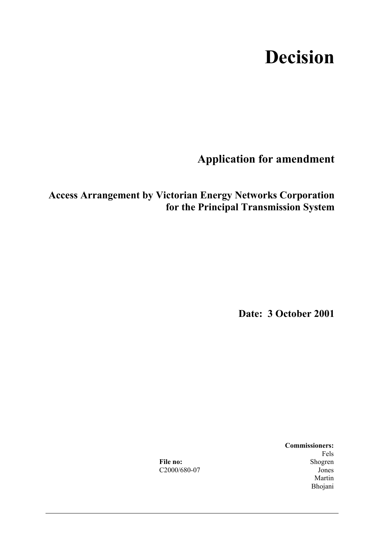# **Decision**

**Application for amendment** 

**Access Arrangement by Victorian Energy Networks Corporation for the Principal Transmission System**

**Date: 3 October 2001** 

 **Commissioners:**  Fels Fels File no: Shogren C2000/680-07 Jones Martin and Martin and Martin and Martin and Martin and Martin and Martin and Martin and Martin and Martin and Martin and Martin and Martin and Martin and Martin and Martin and Martin and Martin and Martin and Martin and Ma Bhojani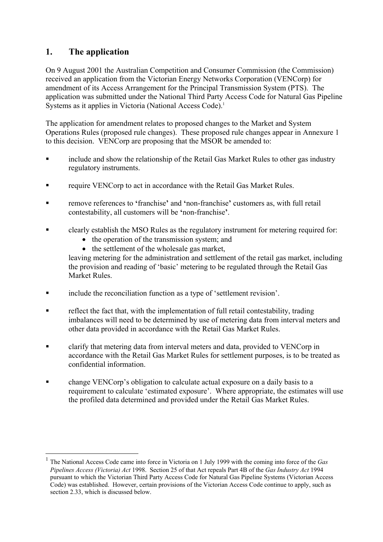# **1. The application**

 $\overline{a}$ 

On 9 August 2001 the Australian Competition and Consumer Commission (the Commission) received an application from the Victorian Energy Networks Corporation (VENCorp) for amendment of its Access Arrangement for the Principal Transmission System (PTS). The application was submitted under the National Third Party Access Code for Natural Gas Pipeline Systems as it applies in Victoria (National Access Code).<sup>1</sup>

The application for amendment relates to proposed changes to the Market and System Operations Rules (proposed rule changes). These proposed rule changes appear in Annexure 1 to this decision. VENCorp are proposing that the MSOR be amended to:

- include and show the relationship of the Retail Gas Market Rules to other gas industry regulatory instruments.
- **Figure VENCorp to act in accordance with the Retail Gas Market Rules.**
- remove references to **'**franchise**'** and **'**non-franchise**'** customers as, with full retail contestability, all customers will be **'**non-franchise**'**.
- clearly establish the MSO Rules as the regulatory instrument for metering required for:
	- the operation of the transmission system; and
	- the settlement of the wholesale gas market,

leaving metering for the administration and settlement of the retail gas market, including the provision and reading of 'basic' metering to be regulated through the Retail Gas Market Rules.

- include the reconciliation function as a type of 'settlement revision'.
- reflect the fact that, with the implementation of full retail contestability, trading imbalances will need to be determined by use of metering data from interval meters and other data provided in accordance with the Retail Gas Market Rules.
- clarify that metering data from interval meters and data, provided to VENCorp in accordance with the Retail Gas Market Rules for settlement purposes, is to be treated as confidential information.
- change VENCorp's obligation to calculate actual exposure on a daily basis to a requirement to calculate 'estimated exposure'. Where appropriate, the estimates will use the profiled data determined and provided under the Retail Gas Market Rules.

<sup>1</sup> The National Access Code came into force in Victoria on 1 July 1999 with the coming into force of the *Gas Pipelines Access (Victoria) Act* 1998. Section 25 of that Act repeals Part 4B of the *Gas Industry Act* 1994 pursuant to which the Victorian Third Party Access Code for Natural Gas Pipeline Systems (Victorian Access Code) was established. However, certain provisions of the Victorian Access Code continue to apply, such as section 2.33, which is discussed below.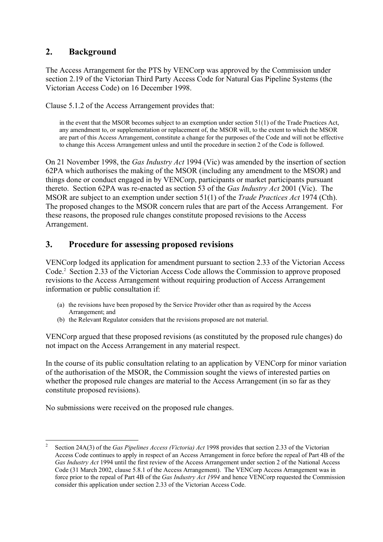# **2. Background**

The Access Arrangement for the PTS by VENCorp was approved by the Commission under section 2.19 of the Victorian Third Party Access Code for Natural Gas Pipeline Systems (the Victorian Access Code) on 16 December 1998.

Clause 5.1.2 of the Access Arrangement provides that:

in the event that the MSOR becomes subject to an exemption under section 51(1) of the Trade Practices Act, any amendment to, or supplementation or replacement of, the MSOR will, to the extent to which the MSOR are part of this Access Arrangement, constitute a change for the purposes of the Code and will not be effective to change this Access Arrangement unless and until the procedure in section 2 of the Code is followed.

On 21 November 1998, the *Gas Industry Act* 1994 (Vic) was amended by the insertion of section 62PA which authorises the making of the MSOR (including any amendment to the MSOR) and things done or conduct engaged in by VENCorp, participants or market participants pursuant thereto. Section 62PA was re-enacted as section 53 of the *Gas Industry Act* 2001 (Vic). The MSOR are subject to an exemption under section 51(1) of the *Trade Practices Act* 1974 (Cth). The proposed changes to the MSOR concern rules that are part of the Access Arrangement. For these reasons, the proposed rule changes constitute proposed revisions to the Access Arrangement.

# **3. Procedure for assessing proposed revisions**

VENCorp lodged its application for amendment pursuant to section 2.33 of the Victorian Access Code.2 Section 2.33 of the Victorian Access Code allows the Commission to approve proposed revisions to the Access Arrangement without requiring production of Access Arrangement information or public consultation if:

- (a) the revisions have been proposed by the Service Provider other than as required by the Access Arrangement; and
- (b) the Relevant Regulator considers that the revisions proposed are not material.

VENCorp argued that these proposed revisions (as constituted by the proposed rule changes) do not impact on the Access Arrangement in any material respect.

In the course of its public consultation relating to an application by VENCorp for minor variation of the authorisation of the MSOR, the Commission sought the views of interested parties on whether the proposed rule changes are material to the Access Arrangement (in so far as they constitute proposed revisions).

No submissions were received on the proposed rule changes.

 $\overline{a}$ 

<sup>2</sup> Section 24A(3) of the *Gas Pipelines Access (Victoria) Act* 1998 provides that section 2.33 of the Victorian Access Code continues to apply in respect of an Access Arrangement in force before the repeal of Part 4B of the *Gas Industry Act* 1994 until the first review of the Access Arrangement under section 2 of the National Access Code (31 March 2002, clause 5.8.1 of the Access Arrangement). The VENCorp Access Arrangement was in force prior to the repeal of Part 4B of the *Gas Industry Act 1994* and hence VENCorp requested the Commission consider this application under section 2.33 of the Victorian Access Code.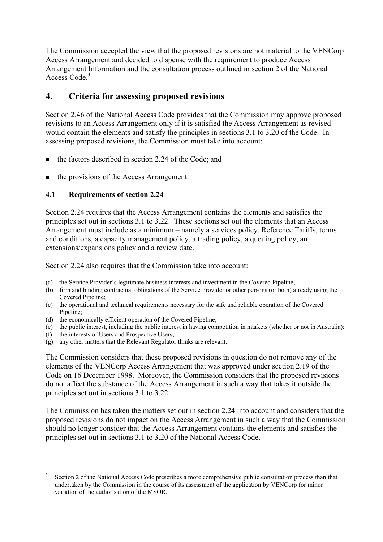The Commission accepted the view that the proposed revisions are not material to the VENCorp Access Arrangement and decided to dispense with the requirement to produce Access Arrangement Information and the consultation process outlined in section 2 of the National Access Code.<sup>3</sup>

# **4. Criteria for assessing proposed revisions**

Section 2.46 of the National Access Code provides that the Commission may approve proposed revisions to an Access Arrangement only if it is satisfied the Access Arrangement as revised would contain the elements and satisfy the principles in sections 3.1 to 3.20 of the Code. In assessing proposed revisions, the Commission must take into account:

- $\blacksquare$  the factors described in section 2.24 of the Code; and
- $\blacksquare$  the provisions of the Access Arrangement.

# **4.1 Requirements of section 2.24**

Section 2.24 requires that the Access Arrangement contains the elements and satisfies the principles set out in sections 3.1 to 3.22. These sections set out the elements that an Access Arrangement must include as a minimum – namely a services policy, Reference Tariffs, terms and conditions, a capacity management policy, a trading policy, a queuing policy, an extensions/expansions policy and a review date.

Section 2.24 also requires that the Commission take into account:

- (a) the Service Provider's legitimate business interests and investment in the Covered Pipeline;
- (b) firm and binding contractual obligations of the Service Provider or other persons (or both) already using the Covered Pipeline;
- (c) the operational and technical requirements necessary for the safe and reliable operation of the Covered Pipeline;
- (d) the economically efficient operation of the Covered Pipeline;
- (e) the public interest, including the public interest in having competition in markets (whether or not in Australia);
- (f) the interests of Users and Prospective Users;

 $\overline{a}$ 

(g) any other matters that the Relevant Regulator thinks are relevant.

The Commission considers that these proposed revisions in question do not remove any of the elements of the VENCorp Access Arrangement that was approved under section 2.19 of the Code on 16 December 1998. Moreover, the Commission considers that the proposed revisions do not affect the substance of the Access Arrangement in such a way that takes it outside the principles set out in sections 3.1 to 3.22.

The Commission has taken the matters set out in section 2.24 into account and considers that the proposed revisions do not impact on the Access Arrangement in such a way that the Commission should no longer consider that the Access Arrangement contains the elements and satisfies the principles set out in sections 3.1 to 3.20 of the National Access Code.

<sup>3</sup> Section 2 of the National Access Code prescribes a more comprehensive public consultation process than that undertaken by the Commission in the course of its assessment of the application by VENCorp for minor variation of the authorisation of the MSOR.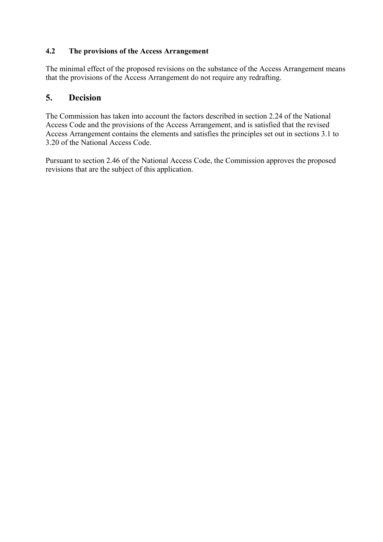## **4.2 The provisions of the Access Arrangement**

The minimal effect of the proposed revisions on the substance of the Access Arrangement means that the provisions of the Access Arrangement do not require any redrafting.

# **5. Decision**

The Commission has taken into account the factors described in section 2.24 of the National Access Code and the provisions of the Access Arrangement, and is satisfied that the revised Access Arrangement contains the elements and satisfies the principles set out in sections 3.1 to 3.20 of the National Access Code.

Pursuant to section 2.46 of the National Access Code, the Commission approves the proposed revisions that are the subject of this application.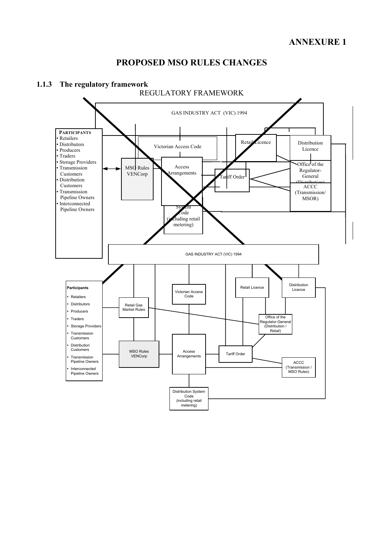# **PROPOSED MSO RULES CHANGES**



## **1.1.3 The regulatory framework**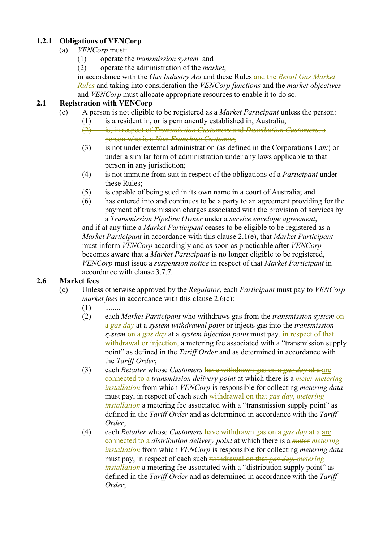# **1.2.1 Obligations of VENCorp**

- (a) *VENCorp* must:
	- (1) operate the *transmission system* and
	- (2) operate the administration of the *market*,

in accordance with the *Gas Industry Act* and these Rules and the *Retail Gas Market Rules* and taking into consideration the *VENCorp functions* and the *market objectives* and *VENCorp* must allocate appropriate resources to enable it to do so.

## **2.1 Registration with VENCorp**

- (e) A person is not eligible to be registered as a *Market Participant* unless the person:
	- (1) is a resident in, or is permanently established in, Australia;
		- (2) is, in respect of *Transmission Customers* and *Distribution Customers*, a person who is a *Non-Franchise Customer*;
		- (3) is not under external administration (as defined in the Corporations Law) or under a similar form of administration under any laws applicable to that person in any jurisdiction;
		- (4) is not immune from suit in respect of the obligations of a *Participant* under these Rules;
		- (5) is capable of being sued in its own name in a court of Australia; and
		- (6) has entered into and continues to be a party to an agreement providing for the payment of transmission charges associated with the provision of services by a *Transmission Pipeline Owner* under a *service envelope agreement*,

and if at any time a *Market Participant* ceases to be eligible to be registered as a *Market Participant* in accordance with this clause 2.1(e), that *Market Participant*  must inform *VENCorp* accordingly and as soon as practicable after *VENCorp*  becomes aware that a *Market Participant* is no longer eligible to be registered, *VENCorp* must issue a *suspension notice* in respect of that *Market Participant* in accordance with clause 3.7.7*.*

# **2.6 Market fees**

- (c) Unless otherwise approved by the *Regulator*, each *Participant* must pay to *VENCorp market fees* in accordance with this clause 2.6(c):
	- $(1)$  ........
	- (2) each *Market Participant* who withdraws gas from the *transmission system* on a *gas day* at a *system withdrawal point* or injects gas into the *transmission system* on a *gas day* at a *system injection point* must pay, in respect of that withdrawal or injection, a metering fee associated with a "transmission supply point" as defined in the *Tariff Order* and as determined in accordance with the *Tariff Order*;
	- (3) each *Retailer* whose *Customers* have withdrawn gas on a *gas day* at a are connected to a *transmission delivery point* at which there is a *meter metering installation* from which *VENCorp* is responsible for collecting *metering data*  must pay, in respect of each such withdrawal on that *gas day*, *metering installation* a metering fee associated with a "transmission supply point" as defined in the *Tariff Order* and as determined in accordance with the *Tariff Order*;
	- (4) each *Retailer* whose *Customers* have withdrawn gas on a *gas day* at a are connected to a *distribution delivery point* at which there is a *meter metering installation* from which *VENCorp* is responsible for collecting *metering data* must pay, in respect of each such withdrawal on that *gas day*, *metering installation* a metering fee associated with a "distribution supply point" as defined in the *Tariff Order* and as determined in accordance with the *Tariff Order*;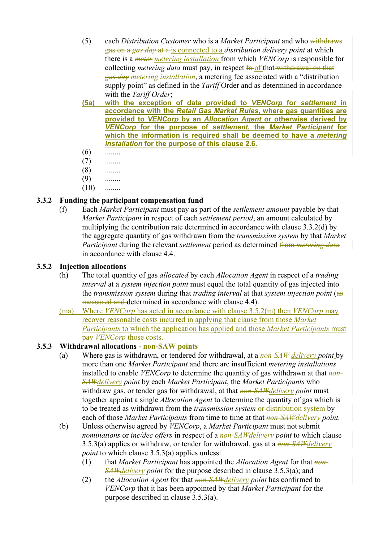- (5) each *Distribution Customer* who is a *Market Participant* and who withdraws gas on a *gas day* at a is connected to a *distribution delivery point* at which there is a *meter metering installation* from which *VENCorp* is responsible for collecting *metering data* must pay, in respect fo of that withdrawal on that *gas day metering installation*, a metering fee associated with a "distribution supply point" as defined in the *Tariff* Order and as determined in accordance with the *Tariff Order*;
- **(5a) with the exception of data provided to** *VENCorp* **for** *settlement* **in accordance with the** *Retail Gas Market Rules***, where gas quantities are provided to** *VENCorp* **by an** *Allocation Agent* **or otherwise derived by**  *VENCorp* **for the purpose of** *settlement***, the** *Market Participant* **for which the information is required shall be deemed to have a** *metering installation* **for the purpose of this clause 2.6.**
- $(6)$  ........
- $(7)$  ........
- $(8)$  ........
- $(9)$  ........
- $(10)$  ........

#### **3.3.2 Funding the participant compensation fund**

(f) Each *Market Participant* must pay as part of the *settlement amount* payable by that *Market Participant* in respect of each *settlement period*, an amount calculated by multiplying the contribution rate determined in accordance with clause 3.3.2(d) by the aggregate quantity of gas withdrawn from the *transmission system* by that *Market Participant* during the relevant *settlement* period as determined from *metering data* in accordance with clause 4.4.

#### **3.5.2 Injection allocations**

- (h) The total quantity of gas *allocated* by each *Allocation Agent* in respect of a *trading interval* at a *system injection point* must equal the total quantity of gas injected into the *transmission system* during that *trading interval* at that *system injection point* (as measured and determined in accordance with clause 4.4).
- (ma) Where *VENCorp* has acted in accordance with clause 3.5.2(m) then *VENCorp* may recover reasonable costs incurred in applying that clause from those *Market Participants* to which the application has applied and those *Market Participants* must pay *VENCorp* those costs.

#### **3.5.3 Withdrawal allocations - non-SAW points**

- (a) Where gas is withdrawn, or tendered for withdrawal, at a *non-SAW delivery point* by more than one *Market Participant* and there are insufficient *metering installations*  installed to enable *VENCorp* to determine the quantity of gas withdrawn at that *non-SAWdelivery point* by each *Market Participant*, the *Market Participants* who withdraw gas, or tender gas for withdrawal, at that *non-SAWdelivery point* must together appoint a single *Allocation Agent* to determine the quantity of gas which is to be treated as withdrawn from the *transmission system* or distribution system by each of those *Market Participants* from time to time at that *non-SAWdelivery point.*
- (b) Unless otherwise agreed by *VENCorp*, a *Market Participant* must not submit *nominations* or *inc/dec offers* in respect of a *non-SAWdelivery point* to which clause 3.5.3(a) applies or withdraw, or tender for withdrawal, gas at a *non-SAWdelivery point* to which clause 3.5.3(a) applies unless:
	- (1) that *Market Participant* has appointed the *Allocation Agent* for that *non-SAWdelivery point* for the purpose described in clause 3.5.3(a); and
	- (2) the *Allocation Agent* for that *non-SAWdelivery point* has confirmed to *VENCorp* that it has been appointed by that *Market Participant* for the purpose described in clause 3.5.3(a).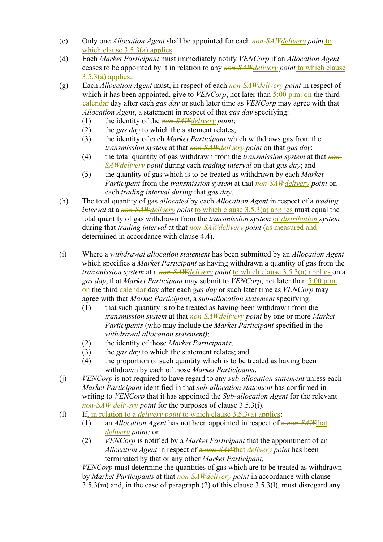- (c) Only one *Allocation Agent* shall be appointed for each *non-SAWdelivery point* to which clause 3.5.3(a) applies.
- (d) Each *Market Participant* must immediately notify *VENCorp* if an *Allocation Agent* ceases to be appointed by it in relation to any *non-SAWdelivery point* to which clause  $3.5.3(a)$  applies..
- (g) Each *Allocation Agent* must, in respect of each *non-SAWdelivery point* in respect of which it has been appointed, give to *VENCorp*, not later than 5:00 p.m. on the third calendar day after each *gas day* or such later time as *VENCorp* may agree with that *Allocation Agent*, a statement in respect of that *gas day* specifying:
	- (1) the identity of the *non-SAWdelivery point*;
	- (2) the *gas day* to which the statement relates;
	- (3) the identity of each *Market Participant* which withdraws gas from the *transmission system* at that *non-SAWdelivery point* on that *gas day*;
	- (4) the total quantity of gas withdrawn from the *transmission system* at that *non-SAWdelivery point* during each *trading interval* on that *gas day*; and
	- (5) the quantity of gas which is to be treated as withdrawn by each *Market Participant* from the *transmission system* at that *non-SAWdelivery point* on each *trading interval during* that *gas day*.
- (h) The total quantity of gas *allocated* by each *Allocation Agent* in respect of a *trading interval* at a *non-SAW delivery point* to which clause 3.5.3(a) applies must equal the total quantity of gas withdrawn from the *transmission system* or *distribution system* during that *trading interval* at that *non-SAWdelivery point* (as measured and determined in accordance with clause 4.4).
- (i) Where a *withdrawal allocation statement* has been submitted by an *Allocation Agent*  which specifies a *Market Participant* as having withdrawn a quantity of gas from the *transmission system* at a *non-SAWdelivery point* to which clause 3.5.3(a) applies on a *gas day*, that *Market Participant* may submit to *VENCorp*, not later than 5:00 p.m. on the third calendar day after each *gas day* or such later time as *VENCorp* may agree with that *Market Participant*, a *sub-allocation statement* specifying:
	- (1) that such quantity is to be treated as having been withdrawn from the *transmission system* at that *non-SAWdelivery point* by one or more *Market Participants* (who may include the *Market Participant* specified in the *withdrawal allocation statement)*;
	- (2) the identity of those *Market Participants*;
	- (3) the *gas day* to which the statement relates; and
	- (4) the proportion of such quantity which is to be treated as having been withdrawn by each of those *Market Participants*.
- (j) *VENCorp* is not required to have regard to any *sub-allocation statement* unless each *Market Participant* identified in that *sub-allocation statement* has confirmed in writing to *VENCorp* that it has appointed the *Sub-allocation Agent* for the relevant *non-SAW delivery point* for the purposes of clause 3.5.3(i).
- (l) If, in relation to a *delivery point* to which clause 3.5.3(a) applies:
	- (1) an *Allocation Agent* has not been appointed in respect of a *non-SAW*that *delivery point;* or
	- (2) *VENCorp* is notified by a *Market Participant* that the appointment of an *Allocation Agent* in respect of a *non-SAW*that *delivery point* has been terminated by that or any other *Market Participant,*

*VENCorp* must determine the quantities of gas which are to be treated as withdrawn by *Market Participants* at that *non-SAWdelivery point* in accordance with clause 3.5.3(m) and, in the case of paragraph (2) of this clause 3.5.3(l), must disregard any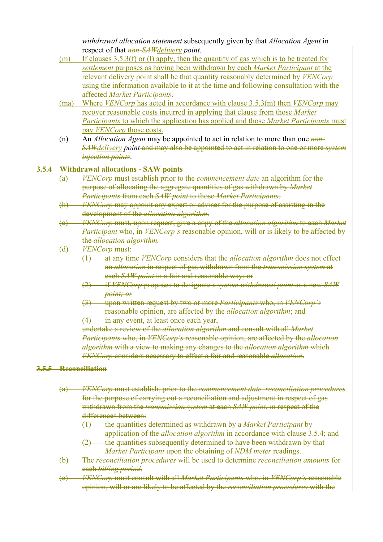*withdrawal allocation statement* subsequently given by that *Allocation Agent* in respect of that *non-SAWdelivery point*.

- (m) If clauses 3.5.3(f) or (l) apply, then the quantity of gas which is to be treated for *settlement* purposes as having been withdrawn by each *Market Participant* at the relevant delivery point shall be that quantity reasonably determined by *VENCorp* using the information available to it at the time and following consultation with the affected *Market Participants*.
- (ma) Where *VENCorp* has acted in accordance with clause 3.5.3(m) then *VENCorp* may recover reasonable costs incurred in applying that clause from those *Market Participants* to which the application has applied and those *Market Participants* must pay *VENCorp* those costs.
- (n) An *Allocation Agent* may be appointed to act in relation to more than one *non-SAWdelivery point* and may also be appointed to act in relation to one or more *system injection points*.

#### **3.5.4 Withdrawal allocations - SAW points**

- (a) *VENCorp* must establish prior to the *commencement date* an algorithm for the purpose of allocating the aggregate quantities of gas withdrawn by *Market Participants* from each *SAW point* to those *Market Participants*.
- (b) *VENCorp* may appoint any expert or adviser for the purpose of assisting in the development of the *allocation algorithm*.
- (c) *VENCorp* must, upon request, give a copy of the *allocation algorithm* to each *Market Participant* who, in *VENCorp's* reasonable opinion, will or is likely to be affected by the *allocation algorithm.*
- (d) *VENCorp* must:
	- (1) at any time *VENCorp* considers that the *allocation algorithm* does not effect an *allocation* in respect of gas withdrawn from the *transmission system* at each *SAW point* in a fair and reasonable way; or
	- (2) if *VENCorp* proposes to designate a *system withdrawal point* as a new *SAW point; or*
	- (3) upon written request by two or more *Participants* who, in *VENCorp's*  reasonable opinion, are affected by the *allocation algorithm*; and
	- (4) in any event, at least once each year,

undertake a review of the *allocation algorithm* and consult with all *Market Participants* who, in *VENCorp's* reasonable opinion, are affected by the *allocation algorithm* with a view to making any changes to the *allocation algorithm* which *VENCorp* considers necessary to effect a fair and reasonable *allocation*.

#### **3.5.5 Reconciliation**

- (a) *VENCorp* must establish, prior to the *commencement date, reconciliation procedures*  for the purpose of carrying out a reconciliation and adjustment in respect of gas withdrawn from the *transmission system* at each *SAW point*, in respect of the differences between:
	- (1) the quantities determined as withdrawn by a *Market Participant* by application of the *allocation algorithm* in accordance with clause 3.5.4; and
	- (2) the quantities subsequently determined to have been withdrawn by that *Market Participant* upon the obtaining of *NDM meter* readings.
- (b) The *reconciliation procedures* will be used to determine *reconciliation amounts* for each *billing period*.
- (c) *VENCorp* must consult with all *Market Participants* who, in *VENCorp's* reasonable opinion, will or are likely to be affected by the *reconciliation procedures* with the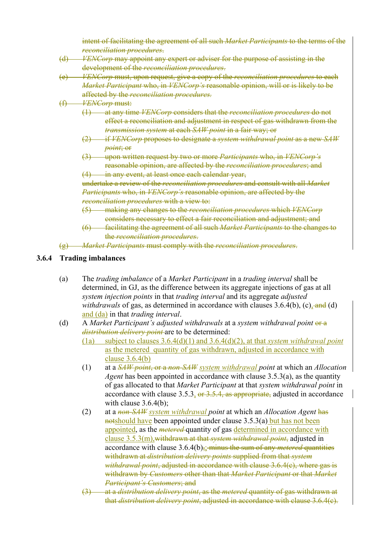intent of facilitating the agreement of all such *Market Participants* to the terms of the *reconciliation procedures*.

- (d) *VENCorp* may appoint any expert or adviser for the purpose of assisting in the development of the *reconciliation procedures*.
- (e) *VENCorp* must, upon request, give a copy of the *reconciliation procedures* to each *Market Participant* who, in *VENCorp's* reasonable opinion, will or is likely to be affected by the *reconciliation procedures.*
- (f) *VENCorp* must:
	- (1) at any time *VENCorp* considers that the *reconciliation procedures* do not effect a reconciliation and adjustment in respect of gas withdrawn from the *transmission system* at each *SAW point* in a fair way; or
	- (2) if *VENCorp* proposes to designate a *system withdrawal point* as a new *SAW point*; or
	- (3) upon written request by two or more *Participants* who, in *VENCorp's*  reasonable opinion, are affected by the *reconciliation procedures*; and
	- (4) in any event, at least once each calendar year, undertake a review of the *reconciliation procedures* and consult with all *Market Participants* who, in *VENCorp's* reasonable opinion, are affected by the

*reconciliation procedures* with a view to:

- (5) making any changes to the *reconciliation procedures* which *VENCorp* considers necessary to effect a fair reconciliation and adjustment; and
- (6) facilitating the agreement of all such *Market Participants* to the changes to the *reconciliation procedures*.
- (g) *Market Participants* must comply with the *reconciliation procedures*.

#### **3.6.4 Trading imbalances**

- (a) The *trading imbalance* of a *Market Participant* in a *trading interval* shall be determined, in GJ, as the difference between its aggregate injections of gas at all *system injection points* in that *trading interval* and its aggregate *adjusted withdrawals* of gas, as determined in accordance with clauses  $3.6.4(b)$ , (c), and (d) and (da) in that *trading interval*.
- (d) A *Market Participant's adjusted withdrawals* at a *system withdrawal point* or a *distribution delivery point* are to be determined:
	- (1a) subject to clauses 3.6.4(d)(1) and 3.6.4(d)(2), at that *system withdrawal point* as the metered quantity of gas withdrawn, adjusted in accordance with clause 3.6.4(b)
	- (1) at a *SAW point*, or a *non-SAW system withdrawal point* at which an *Allocation Agent* has been appointed in accordance with clause 3.5.3(a), as the quantity of gas allocated to that *Market Participant* at that *system withdrawal point* in accordance with clause 3.5.3,  $\Theta$   $\Theta$   $\Theta$   $\Theta$ ,  $\Theta$   $\Theta$  as appropriate, adjusted in accordance with clause  $3.6.4(b)$ ;
	- (2) at a *non-SAW system withdrawal point* at which an *Allocation Agent* has notshould have been appointed under clause 3.5.3(a) but has not been appointed, as the *metered* quantity of gas determined in accordance with clause 3.5.3(m),withdrawn at that *system withdrawal point*, adjusted in accordance with clause 3.6.4(b),; minus the sum of any *metered* quantities withdrawn at *distribution delivery points* supplied from that *system withdrawal point*, adjusted in accordance with clause 3.6.4(c), where gas is withdrawn by *Customers* other than that *Market Participant* or that *Market Participant's Customers*; and
	- (3) at a *distribution delivery point*, as the *metered* quantity of gas withdrawn at that *distribution delivery point*, adjusted in accordance with clause 3.6.4(c).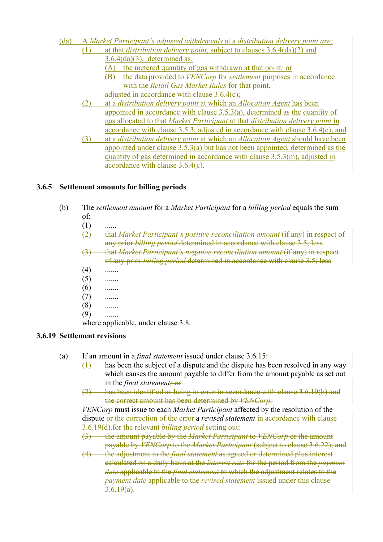- (da) A *Market Participant's adjusted withdrawals* at a *distribution delivery point are:*  (1) at that *distribution delivery point,* subject to clauses 3.6.4(da)(2) and
	- 3.6.4(da)(3), determined as:
	- (A) the metered quantity of gas withdrawn at that point*;* or
	- (B) the data provided to *VENCorp* for *settlement* purposes in accordance with the *Retail Gas Market Rules* for that point, adjusted in accordance with clause 3.6.4(c);
	- (2) at a *distribution delivery point* at which an *Allocation Agent* has been appointed in accordance with clause 3.5.3(a), determined as the quantity of gas allocated to that *Market Participant* at that *distribution delivery point* in accordance with clause 3.5.3, adjusted in accordance with clause 3.6.4(c); and
	- (3) at a *distribution delivery point* at which an *Allocation Agent* should have been appointed under clause 3.5.3(a) but has not been appointed, determined as the quantity of gas determined in accordance with clause 3.5.3(m), adjusted in accordance with clause 3.6.4(c).

# **3.6.5 Settlement amounts for billing periods**

- (b) The *settlement amount* for a *Market Participant* for a *billing period* equals the sum of:
	- $(1)$
	- (2) that *Market Participant's positive reconciliation amount* (if any) in respect of any prior *billing period* determined in accordance with clause 3.5; less
	- (3) that *Market Participant's negative reconciliation amount* (if any) in respect of any prior *billing period* determined in accordance with clause 3.5; less
	- $(4)$  .......
	- $(5)$  .......
	- $(6)$  .......
	- $(7)$  .......
	- $(8)$  .......
	- $(9)$  .......

where applicable, under clause 3.8.

# **3.6.19 Settlement revisions**

- (a) If an amount in a *final statement* issued under clause 3.6.15:
	- $\overline{(1)}$  has been the subject of a dispute and the dispute has been resolved in any way which causes the amount payable to differ from the amount payable as set out in the *final statement;* or
	- (2) has been identified as being in error in accordance with clause 3.6.19(b) and the correct amount has been determined by *VENCorp;*

*VENCorp* must issue to each *Market Participant* affected by the resolution of the dispute or the correction of the error a *revised statement* in accordance with clause 3.6.19(d).for the relevant *billing period* setting out:

- (3) the amount payable by the *Market Participant* to *VENCorp* or the amount payable by *VENCorp* to the *Market Participant* (subject to clause 3.6.22); and
- (4) the adjustment to the *final statement* as agreed or determined plus interest calculated on a daily basis at the *interest rate* for the period from the *payment date* applicable to the *final statement* to which the adjustment relates to the *payment date* applicable to the *revised statement* issued under this clause  $3.6.19(a)$ .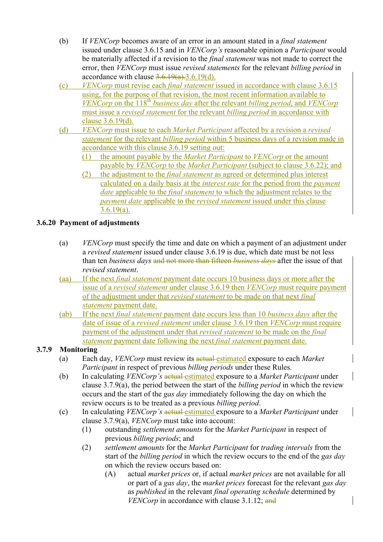- (b) If *VENCorp* becomes aware of an error in an amount stated in a *final statement*  issued under clause 3.6.15 and in *VENCorp's* reasonable opinion a *Participant* would be materially affected if a revision to the *final statement* was not made to correct the error, then *VENCorp* must issue *revised statements* for the relevant *billing period* in accordance with clause  $3.6.19(a)$ .  $3.6.19(d)$ .
- (c) *VENCorp* must revise each *final statement* issued in accordance with clause 3.6.15 using, for the purpose of that revision, the most recent information available to *VENCorp* on the 118<sup>th</sup> *business day* after the relevant *billing period*, and *VENCorp* must issue a *revised statement* for the relevant *billing period* in accordance with clause 3.6.19(d).
- (d) *VENCorp* must issue to each *Market Participant* affected by a revision a *revised statement* for the relevant *billing period* within 5 business days of a revision made in accordance with this clause 3.6.19 setting out:
	- (1) the amount payable by the *Market Participant* to *VENCorp* or the amount payable by *VENCorp* to the *Market Participant* (subject to clause 3.6.22); and
	- (2) the adjustment to the *final statement* as agreed or determined plus interest calculated on a daily basis at the *interest rate* for the period from the *payment date* applicable to the *final statement* to which the adjustment relates to the *payment date* applicable to the *revised statement* issued under this clause  $3.6.19(a)$ .

# **3.6.20 Payment of adjustments**

- (a) *VENCorp* must specify the time and date on which a payment of an adjustment under a *revised statement* issued under clause 3.6.19 is due, which date must be not less than ten *business days* and not more than fifteen *business days* after the issue of that *revised statement*.
- (aa) If the next *final statement* payment date occurs 10 business days or more after the issue of a *revised statement* under clause 3.6.19 then *VENCorp* must require payment of the adjustment under that *revised statement* to be made on that next *final statement* payment date.
- (ab) If the next *final statement* payment date occurs less than 10 *business days* after the date of issue of a *revised statement* under clause 3.6.19 then *VENCorp* must require payment of the adjustment under that *revised statement* to be made on the *final statement* payment date following the next *final statement* payment date.

# **3.7.9 Monitoring**

- (a) Each day, *VENCorp* must review its actual estimated exposure to each *Market Participant* in respect of previous *billing periods* under these Rules.
- (b) In calculating *VENCorp's* actual estimated exposure to a *Market Participant* under clause 3.7.9(a), the period between the start of the *billing period* in which the review occurs and the start of the *gas day* immediately following the day on which the review occurs is to be treated as a previous *billing period*.
- (c) In calculating *VENCorp's* actual estimated exposure to a *Market Participant* under clause 3.7.9(a), *VENCorp* must take into account:
	- (1) outstanding *settlement amounts* for the *Market Participant* in respect of previous *billing periods*; and
	- (2) *settlement amounts* for the *Market Participant* for *trading intervals* from the start of the *billing period* in which the review occurs to the end of the *gas day* on which the review occurs based on:
		- (A) actual *market prices* or, if actual *market prices* are not available for all or part of a *gas day*, the *market prices* forecast for the relevant *gas day* as *published* in the relevant *final operating schedule* determined by *VENCorp* in accordance with clause 3.1.12; and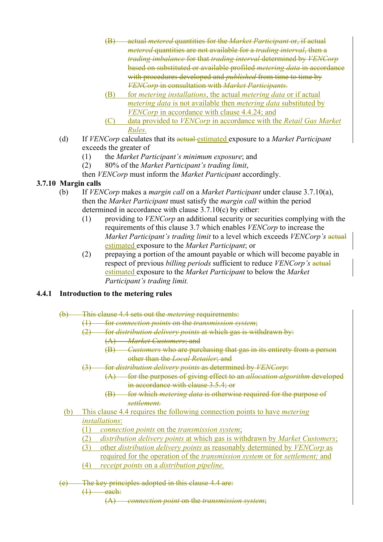- (B) actual *metered* quantities for the *Market Participant* or, if actual *metered* quantities are not available for a *trading interval*, then a *trading imbalance* for that *trading interval* determined by *VENCorp* based on substituted or available profiled *metering data* in accordance with procedures developed and *published* from time to time by *VENCorp* in consultation with *Market Participants.*
- (B) for *metering installations*, the actual *metering data* or if actual *metering data* is not available then *metering data* substituted by *VENCorp* in accordance with clause 4.4.24; and
- (C) data provided to *VENCorp* in accordance with the *Retail Gas Market Rules*.
- (d) If *VENCorp* calculates that its actual estimated exposure to a *Market Participant* exceeds the greater of
	- (1) the *Market Participant's minimum exposure*; and
	- (2) 80% of the *Market Participant's trading limit*,

then *VENCorp* must inform the *Market Participant* accordingly.

# **3.7.10 Margin calls**

- (b) If *VENCorp* makes a *margin call* on a *Market Participant* under clause 3.7.10(a), then the *Market Participant* must satisfy the *margin call* within the period determined in accordance with clause 3.7.10(c) by either:
	- (1) providing to *VENCorp* an additional security or securities complying with the requirements of this clause 3.7 which enables *VENCorp* to increase the *Market Participant's trading limit* to a level which exceeds *VENCorp's* actual estimated exposure to the *Market Participant*; or
	- (2) prepaying a portion of the amount payable or which will become payable in respect of previous *billing periods* sufficient to reduce *VENCorp's* actual estimated exposure to the *Market Participant* to below the *Market Participant's trading limit.*

# **4.4.1 Introduction to the metering rules**

- (b) This clause 4.4 sets out the *metering* requirements:
	- (1) for *connection points* on the *transmission system*;
		- (2) for *distribution delivery points* at which gas is withdrawn by:
			- (A) *Market Customers*; and
			- (B) *Customers* who are purchasing that gas in its entirety from a person other than the *Local Retailer*; and
		- (3) for *distribution delivery points* as determined by *VENCorp*:
			- (A) for the purposes of giving effect to an *allocation algorithm* developed in accordance with clause 3.5.4; or
			- (B) for which *metering data* is otherwise required for the purpose of *settlement.*
	- (b) This clause 4.4 requires the following connection points to have *metering installations*:
		- (1) *connection points* on the *transmission system*;
		- (2) *distribution delivery points* at which gas is withdrawn by *Market Customers*;
		- (3) other *distribution delivery points* as reasonably determined by *VENCorp* as
			- required for the operation of the *transmission system* or for *settlement;* and
		- (4) *receipt points* on a *distribution pipeline.*
- (e) The key principles adopted in this clause 4.4 are:
	- $(1)$  each:

(A) *connection point* on the *transmission system*;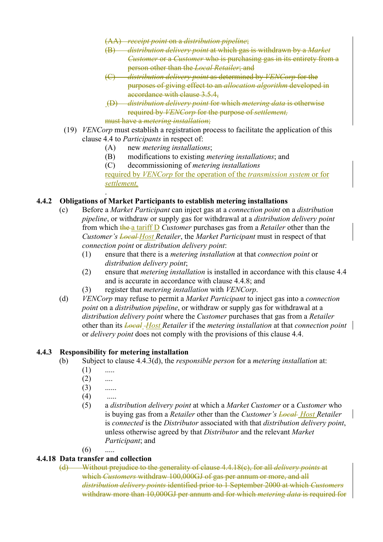- (AA) *receipt point* on a *distribution pipeline*;
- (B) *distribution delivery point* at which gas is withdrawn by a *Market Customer* or a *Customer* who is purchasing gas in its entirety from a person other than the *Local Retailer*; and
- (C) *distribution delivery point* as determined by *VENCorp* for the purposes of giving effect to an *allocation algorithm* developed in accordance with clause 3.5.4,
- (D) *distribution delivery point* for which *metering data* is otherwise required by *VENCorp* for the purpose of *settlement,* must have a *metering installation*;
- (19) *VENCorp* must establish a registration process to facilitate the application of this clause 4.4 to *Participants* in respect of:
	- (A) new *metering installations*;
	- (B) modifications to existing *metering installations*; and
	- (C) decommissioning of *metering installations*

required by *VENCorp* for the operation of the *transmission system* or for *settlement,*

# **4.4.2 Obligations of Market Participants to establish metering installations**

- (c) Before a *Market Participant* can inject gas at a *connection point* on a *distribution pipeline*, or withdraw or supply gas for withdrawal at a *distribution delivery point* from which the a tariff D *Customer* purchases gas from a *Retailer* other than the *Customer's Local Host Retailer*, the *Market Participant* must in respect of that *connection point* or *distribution delivery point*:
	- (1) ensure that there is a *metering installation* at that *connection point* or *distribution delivery point*;
	- (2) ensure that *metering installation* is installed in accordance with this clause 4.4 and is accurate in accordance with clause 4.4.8; and
	- (3) register that *metering installation* with *VENCorp*.
- (d) *VENCorp* may refuse to permit a *Market Participant* to inject gas into a *connection point* on a *distribution pipeline*, or withdraw or supply gas for withdrawal at a *distribution delivery point* where the *Customer* purchases that gas from a *Retailer*  other than its *Local Host Retailer* if the *metering installation* at that *connection point*  or *delivery point* does not comply with the provisions of this clause 4.4.

#### **4.4.3 Responsibility for metering installation**

.

- (b) Subject to clause 4.4.3(d), the *responsible person* for a *metering installation* at:
	- $(1)$  .....
	- $(2)$  ....
	- $(3)$  ......
	- $(4)$  .....
	- (5) a *distribution delivery point* at which a *Market Customer* or a *Customer* who is buying gas from a *Retailer* other than the *Customer's Local Host Retailer*  is *connected* is the *Distributor* associated with that *distribution delivery point*, unless otherwise agreed by that *Distributor* and the relevant *Market Participant*; and
	- $(6)$  .....

# **4.4.18 Data transfer and collection**

(d) Without prejudice to the generality of clause 4.4.18(c), for all *delivery points* at which *Customers* withdraw 100,000GJ of gas per annum or more, and all *distribution delivery points* identified prior to 1 September 2000 at which *Customers* withdraw more than 10,000GJ per annum and for which *metering data* is required for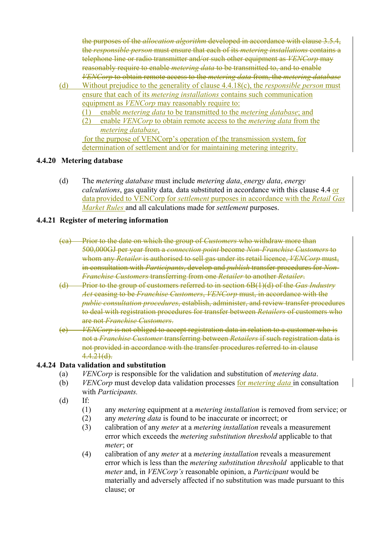the purposes of the *allocation algorithm* developed in accordance with clause 3.5.4, the *responsible person* must ensure that each of its *metering installations* contains a telephone line or radio transmitter and/or such other equipment as *VENCorp* may reasonably require to enable *metering data* to be transmitted to, and to enable *VENCorp* to obtain remote access to the *metering data* from, the *metering database*

- (d) Without prejudice to the generality of clause 4.4.18(c), the *responsible person* must ensure that each of its *metering installations* contains such communication equipment as *VENCorp* may reasonably require to:
	- (1) enable *metering data* to be transmitted to the *metering database*; and
	- (2) enable *VENCorp* to obtain remote access to the *metering data* from the *metering database*,

 for the purpose of VENCorp's operation of the transmission system, for determination of settlement and/or for maintaining metering integrity.

## **4.4.20 Metering database**

(d) The *metering database* must include *metering data*, *energy data*, *energy calculations*, gas quality data*,* data substituted in accordance with this clause 4.4 or data provided to VENCorp for *settlement* purposes in accordance with the *Retail Gas Market Rules* and all calculations made for *settlement* purposes.

## **4.4.21 Register of metering information**

- (ca) Prior to the date on which the group of *Customers* who withdraw more than 500,000GJ per year from a *connection point* become *Non-Franchise Customers* to whom any *Retailer* is authorised to sell gas under its retail licence, *VENCorp* must, in consultation with *Participants*, develop and *publish* transfer procedures for *Non-Franchise Customers* transferring from one *Retailer* to another *Retailer*.
- (d) Prior to the group of customers referred to in section 6B(1)(d) of the *Gas Industry Act* ceasing to be *Franchise Customers*, *VENCorp* must, in accordance with the *public consultation procedures*, establish, administer, and review transfer procedures to deal with registration procedures for transfer between *Retailers* of customers who are not *Franchise Customers*.
- *VENCorp* is not obliged to accept registration data in relation to a customer who is not a *Franchise Customer* transferring between *Retailers* if such registration data is not provided in accordance with the transfer procedures referred to in clause 4.4.21(d).

#### **4.4.24 Data validation and substitution**

- (a) *VENCorp* is responsible for the validation and substitution of *metering data*.
- (b) *VENCorp* must develop data validation processes for *metering data* in consultation with *Participants.*
- (d) If:
	- (1) any *metering* equipment at a *metering installation* is removed from service; or
	- (2) any *metering data* is found to be inaccurate or incorrect; or
	- (3) calibration of any *meter* at a *metering installation* reveals a measurement error which exceeds the *metering substitution threshold* applicable to that *meter*; or
	- (4) calibration of any *meter* at a *metering installation* reveals a measurement error which is less than the *metering substitution threshold* applicable to that *meter* and, in *VENCorp's* reasonable opinion, a *Participant* would be materially and adversely affected if no substitution was made pursuant to this clause; or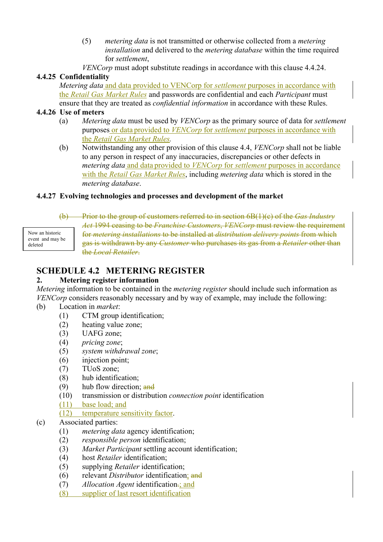- (5) *metering data* is not transmitted or otherwise collected from a *metering installation* and delivered to the *metering database* within the time required for *settlement*,
- *VENCorp* must adopt substitute readings in accordance with this clause 4.4.24.

## **4.4.25 Confidentiality**

*Metering data* and data provided to VENCorp for *settlement* purposes in accordance with the *Retail Gas Market Rules* and passwords are confidential and each *Participant* must ensure that they are treated as *confidential information* in accordance with these Rules.

## **4.4.26 Use of meters**

- (a) *Metering data* must be used by *VENCorp* as the primary source of data for *settlement*  purposes or data provided to *VENCorp* for *settlement* purposes in accordance with the *Retail Gas Market Rules.*
- (b) Notwithstanding any other provision of this clause 4.4, *VENCorp* shall not be liable to any person in respect of any inaccuracies, discrepancies or other defects in *metering data* and data provided to *VENCorp* for *settlement* purposes in accordance with the *Retail Gas Market Rules*, including *metering data* which is stored in the *metering database*.

## **4.4.27 Evolving technologies and processes and development of the market**

(b) Prior to the group of customers referred to in section 6B(1)(c) of the *Gas Industry Act* 1994 ceasing to be *Franchise Customers*, *VENCorp* must review the requirement for *metering installations* to be installed at *distribution delivery points* from which gas is withdrawn by any *Customer* who purchases its gas from a *Retailer* other than the *Local Retailer*. Now an historic event and may be

# **SCHEDULE 4.2 METERING REGISTER**

#### **2. Metering register information**

*Metering* information to be contained in the *metering register* should include such information as *VENCorp* considers reasonably necessary and by way of example, may include the following:

(b) Location in *market*:

deleted

- (1) CTM group identification;
- (2) heating value zone;
- (3) UAFG zone;
- (4) *pricing zone*;
- (5) *system withdrawal zone*;
- (6) injection point;
- (7) TUoS zone;
- (8) hub identification;
- (9) hub flow direction; and
- (10) transmission or distribution *connection point* identification
- (11) base load; and

# (12) temperature sensitivity factor.

# (c) Associated parties:

- (1) *metering data* agency identification;
- (2) *responsible person* identification;
- (3) *Market Participant* settling account identification;
- (4) host *Retailer* identification;
- (5) supplying *Retailer* identification;
- (6) relevant *Distributor* identification; and
- (7) *Allocation Agent* identification.; and
- (8) supplier of last resort identification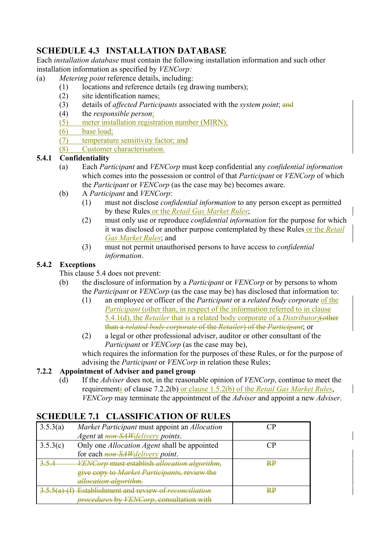# **SCHEDULE 4.3 INSTALLATION DATABASE**

Each *installation database* must contain the following installation information and such other installation information as specified by *VENCorp:*

- (a) *Metering point* reference details, including:
	- (1) locations and reference details (eg drawing numbers);
	- (2) site identification names;
	- (3) details of *affected Participants* associated with the *system point*; and
	- (4) the *responsible person*;
	- (5) meter installation registration number (MIRN);
	- (6) base load;
	- (7) temperature sensitivity factor; and
	- (8) Customer characterisation.

# **5.4.1 Confidentiality**

- (a) Each *Participant* and *VENCorp* must keep confidential any *confidential information* which comes into the possession or control of that *Participant* or *VENCorp* of which the *Participant* or *VENCorp* (as the case may be) becomes aware.
- (b) A *Participant* and *VENCorp*:
	- (1) must not disclose *confidential information* to any person except as permitted by these Rules or the *Retail Gas Market Rules*;
	- (2) must only use or reproduce *confidential information* for the purpose for which it was disclosed or another purpose contemplated by these Rules or the *Retail Gas Market Rules*; and
	- (3) must not permit unauthorised persons to have access to *confidential information*.

# **5.4.2 Exceptions**

This clause 5.4 does not prevent:

- (b) the disclosure of information by a *Participant* or *VENCorp* or by persons to whom the *Participant* or *VENCorp* (as the case may be) has disclosed that information to:
	- (1) an employee or officer of the *Participant* or a *related body corporate* of the *Participant* (other than, in respect of the information referred to in clause 5.4.1(d), the *Retailer* that is a related body corporate of a *Distributor)*(other than a *related body corporate* of the *Retailer*) of the *Participant*; or
	- (2) a legal or other professional adviser, auditor or other consultant of the *Participant* or *VENCorp* (as the case may be),

which requires the information for the purposes of these Rules, or for the purpose of advising the *Participant* or *VENCorp* in relation these Rules;

# **7.2.2 Appointment of Adviser and panel group**

(d) If the *Adviser* does not, in the reasonable opinion of *VENCorp*, continue to meet the requirements of clause 7.2.2(b) or clause 1.5.2(b) of the *Retail Gas Market Rules*, *VENCorp* may terminate the appointment of the *Adviser* and appoint a new *Adviser*.

# **SCHEDULE 7.1 CLASSIFICATION OF RULES**

| 3.5.3(a) | Market Participant must appoint an Allocation         |    |
|----------|-------------------------------------------------------|----|
|          | Agent at non-SAW delivery points.                     |    |
| 3.5.3(c) | Only one <i>Allocation Agent</i> shall be appointed   |    |
|          | for each <i>non-SAW delivery point</i> .              |    |
|          | VENCorp must establish allocation algorithm,          | RP |
|          | give copy to Market Participants, review the          |    |
|          | allocation algorithm.                                 |    |
|          | 5.5(a) (f) Establishment and review of reconciliation | ₩₽ |
|          | procedures by VENCorp, consultation with              |    |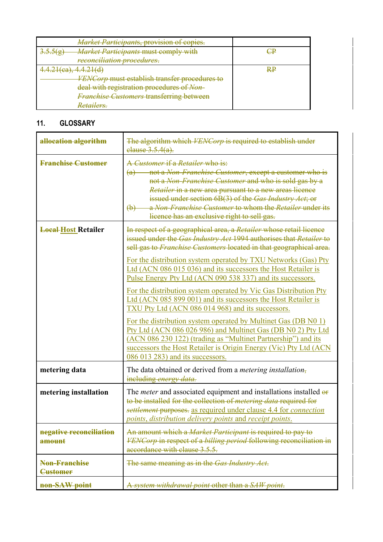| <b>Market Participants, provision of copies.</b>     |    |
|------------------------------------------------------|----|
| 2556<br><b>Market Participants must comply with</b>  |    |
| reconciliation procedures.                           |    |
| $T, T, \angle T$ (vu), T. T. $\angle T$ (u)          | R₽ |
| <i>VENCorp</i> must establish transfer procedures to |    |
| deal with registration procedures of Non-            |    |
| <b>Franchise Customers transferring between</b>      |    |
| Retailers.                                           |    |

# **11. GLOSSARY**

| allocation algorithm                    | The algorithm which <i>VENCorp</i> is required to establish under<br>elause 3.5.4(a).                                                                                                                                                                                                                                                                                                                                                                                                                                                                                                                                                                                                                                                                                                                                                                                                                                 |
|-----------------------------------------|-----------------------------------------------------------------------------------------------------------------------------------------------------------------------------------------------------------------------------------------------------------------------------------------------------------------------------------------------------------------------------------------------------------------------------------------------------------------------------------------------------------------------------------------------------------------------------------------------------------------------------------------------------------------------------------------------------------------------------------------------------------------------------------------------------------------------------------------------------------------------------------------------------------------------|
| <b>Franchise Customer</b>               | A Customer if a Retailer who is:<br>not a Non-Franchise Customer, except a customer who is<br>$\left(\mathrm{a}\right)$<br>not a Non-Franchise Customer and who is sold gas by a<br><i>Retailer</i> in a new area pursuant to a new areas licence<br>issued under section 6B(3) of the Gas Industry Act; or<br>a Non-Franchise Customer to whom the Retailer under its<br>$\biguplus$<br>licence has an exclusive right to sell gas.                                                                                                                                                                                                                                                                                                                                                                                                                                                                                  |
| <b>Local Host Retailer</b>              | In respect of a geographical area, a Retailer whose retail licence<br>issued under the Gas Industry Act 1994 authorises that Retailer to<br>sell gas to Franchise Customers located in that geographical area.<br>For the distribution system operated by TXU Networks (Gas) Pty<br>Ltd (ACN 086 015 036) and its successors the Host Retailer is<br>Pulse Energy Pty Ltd (ACN 090 538 337) and its successors.<br>For the distribution system operated by Vic Gas Distribution Pty<br>Ltd (ACN 085 899 001) and its successors the Host Retailer is<br>TXU Pty Ltd (ACN 086 014 968) and its successors.<br>For the distribution system operated by Multinet Gas (DB N0 1)<br>Pty Ltd (ACN 086 026 986) and Multinet Gas (DB N0 2) Pty Ltd<br>(ACN 086 230 122) (trading as "Multinet Partnership") and its<br>successors the Host Retailer is Origin Energy (Vic) Pty Ltd (ACN)<br>086 013 283) and its successors. |
| metering data                           | The data obtained or derived from a <i>metering installation</i> ,<br>including energy data.                                                                                                                                                                                                                                                                                                                                                                                                                                                                                                                                                                                                                                                                                                                                                                                                                          |
| metering installation                   | The <i>meter</i> and associated equipment and installations installed or<br>to be installed for the collection of <i>metering data</i> required for<br>settlement purposes. as required under clause 4.4 for <i>connection</i><br><i>points, distribution delivery points and receipt points.</i>                                                                                                                                                                                                                                                                                                                                                                                                                                                                                                                                                                                                                     |
| negative reconciliation<br>amount       | An amount which a Market Participant is required to pay to<br>VENCorp in respect of a billing period following reconciliation in<br>accordance with clause 3.5.5.                                                                                                                                                                                                                                                                                                                                                                                                                                                                                                                                                                                                                                                                                                                                                     |
| <b>Non-Franchise</b><br><b>Customer</b> | The same meaning as in the Gas Industry Act.                                                                                                                                                                                                                                                                                                                                                                                                                                                                                                                                                                                                                                                                                                                                                                                                                                                                          |
| non-SAW point                           | A system withdrawal point other than a SAW point.                                                                                                                                                                                                                                                                                                                                                                                                                                                                                                                                                                                                                                                                                                                                                                                                                                                                     |